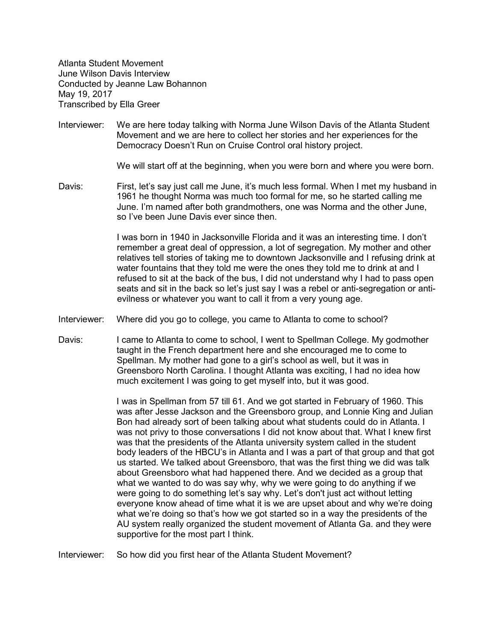Atlanta Student Movement June Wilson Davis Interview Conducted by Jeanne Law Bohannon May 19, 2017 Transcribed by Ella Greer

Interviewer: We are here today talking with Norma June Wilson Davis of the Atlanta Student Movement and we are here to collect her stories and her experiences for the Democracy Doesn't Run on Cruise Control oral history project.

We will start off at the beginning, when you were born and where you were born.

Davis: First, let's say just call me June, it's much less formal. When I met my husband in 1961 he thought Norma was much too formal for me, so he started calling me June. I'm named after both grandmothers, one was Norma and the other June, so I've been June Davis ever since then.

> I was born in 1940 in Jacksonville Florida and it was an interesting time. I don't remember a great deal of oppression, a lot of segregation. My mother and other relatives tell stories of taking me to downtown Jacksonville and I refusing drink at water fountains that they told me were the ones they told me to drink at and I refused to sit at the back of the bus, I did not understand why I had to pass open seats and sit in the back so let's just say I was a rebel or anti-segregation or antievilness or whatever you want to call it from a very young age.

- Interviewer: Where did you go to college, you came to Atlanta to come to school?
- Davis: I came to Atlanta to come to school, I went to Spellman College. My godmother taught in the French department here and she encouraged me to come to Spellman. My mother had gone to a girl's school as well, but it was in Greensboro North Carolina. I thought Atlanta was exciting, I had no idea how much excitement I was going to get myself into, but it was good.

I was in Spellman from 57 till 61. And we got started in February of 1960. This was after Jesse Jackson and the Greensboro group, and Lonnie King and Julian Bon had already sort of been talking about what students could do in Atlanta. I was not privy to those conversations I did not know about that. What I knew first was that the presidents of the Atlanta university system called in the student body leaders of the HBCU's in Atlanta and I was a part of that group and that got us started. We talked about Greensboro, that was the first thing we did was talk about Greensboro what had happened there. And we decided as a group that what we wanted to do was say why, why we were going to do anything if we were going to do something let's say why. Let's don't just act without letting everyone know ahead of time what it is we are upset about and why we're doing what we're doing so that's how we got started so in a way the presidents of the AU system really organized the student movement of Atlanta Ga. and they were supportive for the most part I think.

Interviewer: So how did you first hear of the Atlanta Student Movement?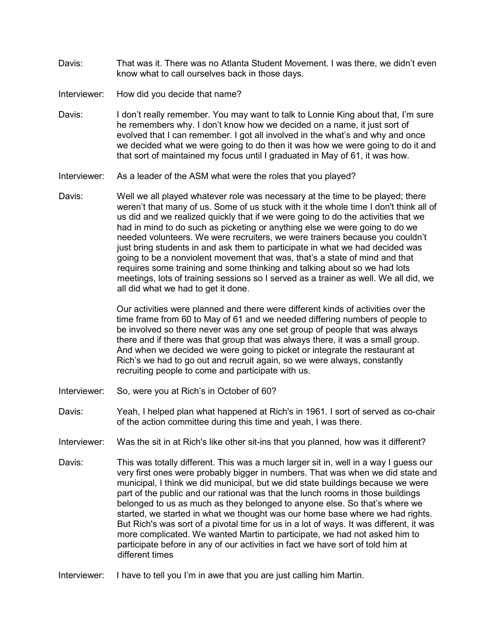- Davis: That was it. There was no Atlanta Student Movement. I was there, we didn't even know what to call ourselves back in those days.
- Interviewer: How did you decide that name?
- Davis: I don't really remember. You may want to talk to Lonnie King about that, I'm sure he remembers why. I don't know how we decided on a name, it just sort of evolved that I can remember. I got all involved in the what's and why and once we decided what we were going to do then it was how we were going to do it and that sort of maintained my focus until I graduated in May of 61, it was how.
- Interviewer: As a leader of the ASM what were the roles that you played?
- Davis: Well we all played whatever role was necessary at the time to be played; there weren't that many of us. Some of us stuck with it the whole time I don't think all of us did and we realized quickly that if we were going to do the activities that we had in mind to do such as picketing or anything else we were going to do we needed volunteers. We were recruiters, we were trainers because you couldn't just bring students in and ask them to participate in what we had decided was going to be a nonviolent movement that was, that's a state of mind and that requires some training and some thinking and talking about so we had lots meetings, lots of training sessions so I served as a trainer as well. We all did, we all did what we had to get it done.

Our activities were planned and there were different kinds of activities over the time frame from 60 to May of 61 and we needed differing numbers of people to be involved so there never was any one set group of people that was always there and if there was that group that was always there, it was a small group. And when we decided we were going to picket or integrate the restaurant at Rich's we had to go out and recruit again, so we were always, constantly recruiting people to come and participate with us.

- Interviewer: So, were you at Rich's in October of 60?
- Davis: Yeah, I helped plan what happened at Rich's in 1961. I sort of served as co-chair of the action committee during this time and yeah, I was there.
- Interviewer: Was the sit in at Rich's like other sit-ins that you planned, how was it different?
- Davis: This was totally different. This was a much larger sit in, well in a way I guess our very first ones were probably bigger in numbers. That was when we did state and municipal, I think we did municipal, but we did state buildings because we were part of the public and our rational was that the lunch rooms in those buildings belonged to us as much as they belonged to anyone else. So that's where we started, we started in what we thought was our home base where we had rights. But Rich's was sort of a pivotal time for us in a lot of ways. It was different, it was more complicated. We wanted Martin to participate, we had not asked him to participate before in any of our activities in fact we have sort of told him at different times
- Interviewer: I have to tell you I'm in awe that you are just calling him Martin.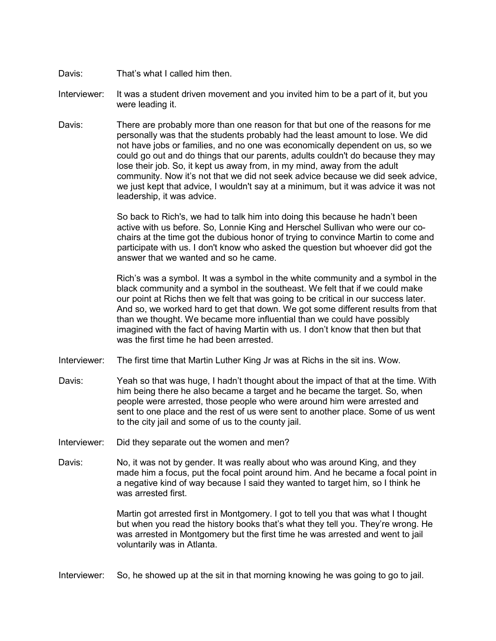- Davis: That's what I called him then.
- Interviewer: It was a student driven movement and you invited him to be a part of it, but you were leading it.
- Davis: There are probably more than one reason for that but one of the reasons for me personally was that the students probably had the least amount to lose. We did not have jobs or families, and no one was economically dependent on us, so we could go out and do things that our parents, adults couldn't do because they may lose their job. So, it kept us away from, in my mind, away from the adult community. Now it's not that we did not seek advice because we did seek advice, we just kept that advice, I wouldn't say at a minimum, but it was advice it was not leadership, it was advice.

So back to Rich's, we had to talk him into doing this because he hadn't been active with us before. So, Lonnie King and Herschel Sullivan who were our cochairs at the time got the dubious honor of trying to convince Martin to come and participate with us. I don't know who asked the question but whoever did got the answer that we wanted and so he came.

Rich's was a symbol. It was a symbol in the white community and a symbol in the black community and a symbol in the southeast. We felt that if we could make our point at Richs then we felt that was going to be critical in our success later. And so, we worked hard to get that down. We got some different results from that than we thought. We became more influential than we could have possibly imagined with the fact of having Martin with us. I don't know that then but that was the first time he had been arrested.

- Interviewer: The first time that Martin Luther King Jr was at Richs in the sit ins. Wow.
- Davis: Yeah so that was huge, I hadn't thought about the impact of that at the time. With him being there he also became a target and he became the target. So, when people were arrested, those people who were around him were arrested and sent to one place and the rest of us were sent to another place. Some of us went to the city jail and some of us to the county jail.
- Interviewer: Did they separate out the women and men?
- Davis: No, it was not by gender. It was really about who was around King, and they made him a focus, put the focal point around him. And he became a focal point in a negative kind of way because I said they wanted to target him, so I think he was arrested first.

Martin got arrested first in Montgomery. I got to tell you that was what I thought but when you read the history books that's what they tell you. They're wrong. He was arrested in Montgomery but the first time he was arrested and went to jail voluntarily was in Atlanta.

Interviewer: So, he showed up at the sit in that morning knowing he was going to go to jail.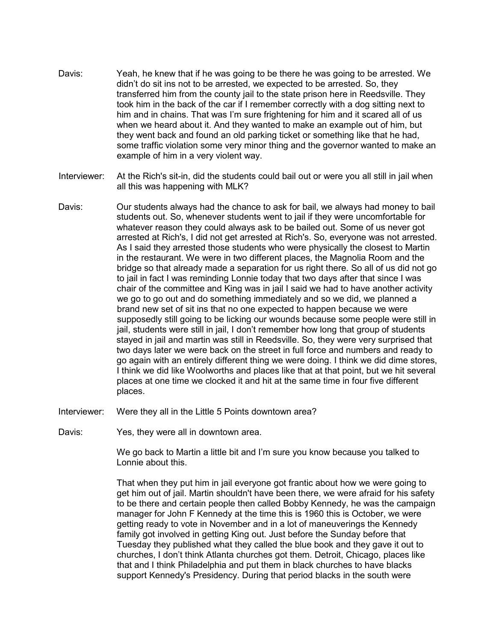- Davis: Yeah, he knew that if he was going to be there he was going to be arrested. We didn't do sit ins not to be arrested, we expected to be arrested. So, they transferred him from the county jail to the state prison here in Reedsville. They took him in the back of the car if I remember correctly with a dog sitting next to him and in chains. That was I'm sure frightening for him and it scared all of us when we heard about it. And they wanted to make an example out of him, but they went back and found an old parking ticket or something like that he had, some traffic violation some very minor thing and the governor wanted to make an example of him in a very violent way.
- Interviewer: At the Rich's sit-in, did the students could bail out or were you all still in jail when all this was happening with MLK?
- Davis: Our students always had the chance to ask for bail, we always had money to bail students out. So, whenever students went to jail if they were uncomfortable for whatever reason they could always ask to be bailed out. Some of us never got arrested at Rich's, I did not get arrested at Rich's. So, everyone was not arrested. As I said they arrested those students who were physically the closest to Martin in the restaurant. We were in two different places, the Magnolia Room and the bridge so that already made a separation for us right there. So all of us did not go to jail in fact I was reminding Lonnie today that two days after that since I was chair of the committee and King was in jail I said we had to have another activity we go to go out and do something immediately and so we did, we planned a brand new set of sit ins that no one expected to happen because we were supposedly still going to be licking our wounds because some people were still in jail, students were still in jail, I don't remember how long that group of students stayed in jail and martin was still in Reedsville. So, they were very surprised that two days later we were back on the street in full force and numbers and ready to go again with an entirely different thing we were doing. I think we did dime stores, I think we did like Woolworths and places like that at that point, but we hit several places at one time we clocked it and hit at the same time in four five different places.
- Interviewer: Were they all in the Little 5 Points downtown area?
- Davis: Yes, they were all in downtown area.

We go back to Martin a little bit and I'm sure you know because you talked to Lonnie about this.

That when they put him in jail everyone got frantic about how we were going to get him out of jail. Martin shouldn't have been there, we were afraid for his safety to be there and certain people then called Bobby Kennedy, he was the campaign manager for John F Kennedy at the time this is 1960 this is October, we were getting ready to vote in November and in a lot of maneuverings the Kennedy family got involved in getting King out. Just before the Sunday before that Tuesday they published what they called the blue book and they gave it out to churches, I don't think Atlanta churches got them. Detroit, Chicago, places like that and I think Philadelphia and put them in black churches to have blacks support Kennedy's Presidency. During that period blacks in the south were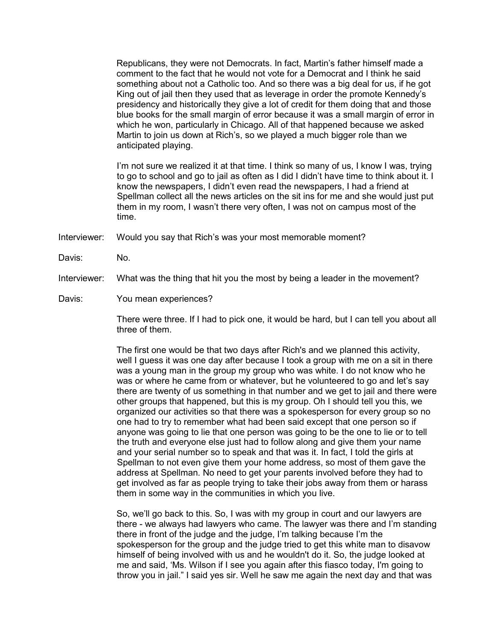Republicans, they were not Democrats. In fact, Martin's father himself made a comment to the fact that he would not vote for a Democrat and I think he said something about not a Catholic too. And so there was a big deal for us, if he got King out of jail then they used that as leverage in order the promote Kennedy's presidency and historically they give a lot of credit for them doing that and those blue books for the small margin of error because it was a small margin of error in which he won, particularly in Chicago. All of that happened because we asked Martin to join us down at Rich's, so we played a much bigger role than we anticipated playing.

I'm not sure we realized it at that time. I think so many of us, I know I was, trying to go to school and go to jail as often as I did I didn't have time to think about it. I know the newspapers, I didn't even read the newspapers, I had a friend at Spellman collect all the news articles on the sit ins for me and she would just put them in my room, I wasn't there very often, I was not on campus most of the time.

Interviewer: Would you say that Rich's was your most memorable moment?

- Davis: No.
- Interviewer: What was the thing that hit you the most by being a leader in the movement?
- Davis: You mean experiences?

There were three. If I had to pick one, it would be hard, but I can tell you about all three of them.

The first one would be that two days after Rich's and we planned this activity, well I guess it was one day after because I took a group with me on a sit in there was a young man in the group my group who was white. I do not know who he was or where he came from or whatever, but he volunteered to go and let's say there are twenty of us something in that number and we get to jail and there were other groups that happened, but this is my group. Oh I should tell you this, we organized our activities so that there was a spokesperson for every group so no one had to try to remember what had been said except that one person so if anyone was going to lie that one person was going to be the one to lie or to tell the truth and everyone else just had to follow along and give them your name and your serial number so to speak and that was it. In fact, I told the girls at Spellman to not even give them your home address, so most of them gave the address at Spellman. No need to get your parents involved before they had to get involved as far as people trying to take their jobs away from them or harass them in some way in the communities in which you live.

So, we'll go back to this. So, I was with my group in court and our lawyers are there - we always had lawyers who came. The lawyer was there and I'm standing there in front of the judge and the judge, I'm talking because I'm the spokesperson for the group and the judge tried to get this white man to disavow himself of being involved with us and he wouldn't do it. So, the judge looked at me and said, 'Ms. Wilson if I see you again after this fiasco today, I'm going to throw you in jail." I said yes sir. Well he saw me again the next day and that was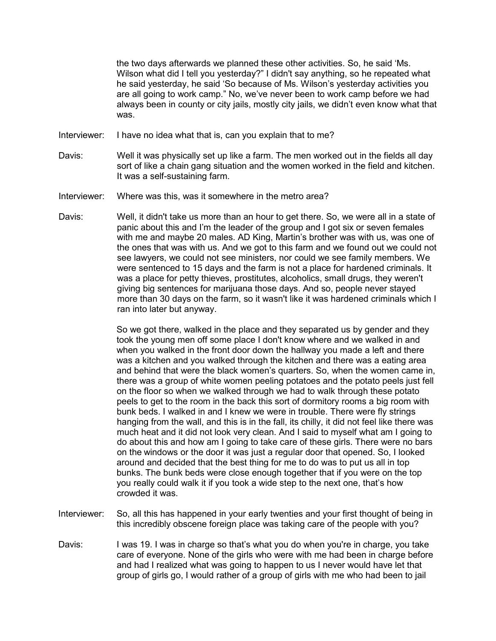the two days afterwards we planned these other activities. So, he said 'Ms. Wilson what did I tell you yesterday?" I didn't say anything, so he repeated what he said yesterday, he said 'So because of Ms. Wilson's yesterday activities you are all going to work camp." No, we've never been to work camp before we had always been in county or city jails, mostly city jails, we didn't even know what that was.

- Interviewer: I have no idea what that is, can you explain that to me?
- Davis: Well it was physically set up like a farm. The men worked out in the fields all day sort of like a chain gang situation and the women worked in the field and kitchen. It was a self-sustaining farm.
- Interviewer: Where was this, was it somewhere in the metro area?
- Davis: Well, it didn't take us more than an hour to get there. So, we were all in a state of panic about this and I'm the leader of the group and I got six or seven females with me and maybe 20 males. AD King, Martin's brother was with us, was one of the ones that was with us. And we got to this farm and we found out we could not see lawyers, we could not see ministers, nor could we see family members. We were sentenced to 15 days and the farm is not a place for hardened criminals. It was a place for petty thieves, prostitutes, alcoholics, small drugs, they weren't giving big sentences for marijuana those days. And so, people never stayed more than 30 days on the farm, so it wasn't like it was hardened criminals which I ran into later but anyway.

So we got there, walked in the place and they separated us by gender and they took the young men off some place I don't know where and we walked in and when you walked in the front door down the hallway you made a left and there was a kitchen and you walked through the kitchen and there was a eating area and behind that were the black women's quarters. So, when the women came in, there was a group of white women peeling potatoes and the potato peels just fell on the floor so when we walked through we had to walk through these potato peels to get to the room in the back this sort of dormitory rooms a big room with bunk beds. I walked in and I knew we were in trouble. There were fly strings hanging from the wall, and this is in the fall, its chilly, it did not feel like there was much heat and it did not look very clean. And I said to myself what am I going to do about this and how am I going to take care of these girls. There were no bars on the windows or the door it was just a regular door that opened. So, I looked around and decided that the best thing for me to do was to put us all in top bunks. The bunk beds were close enough together that if you were on the top you really could walk it if you took a wide step to the next one, that's how crowded it was.

- Interviewer: So, all this has happened in your early twenties and your first thought of being in this incredibly obscene foreign place was taking care of the people with you?
- Davis: I was 19. I was in charge so that's what you do when you're in charge, you take care of everyone. None of the girls who were with me had been in charge before and had I realized what was going to happen to us I never would have let that group of girls go, I would rather of a group of girls with me who had been to jail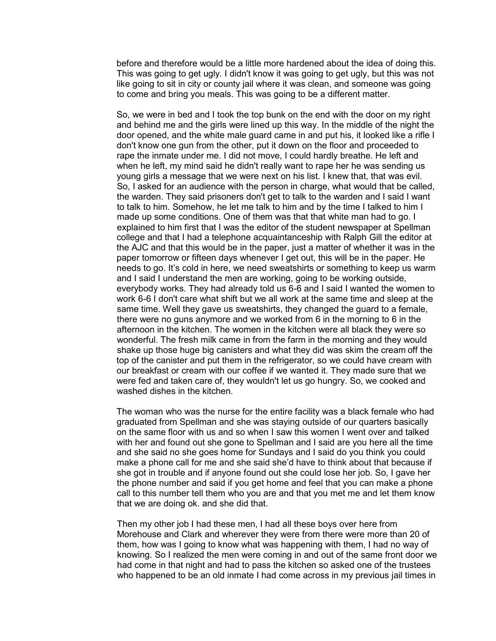before and therefore would be a little more hardened about the idea of doing this. This was going to get ugly. I didn't know it was going to get ugly, but this was not like going to sit in city or county jail where it was clean, and someone was going to come and bring you meals. This was going to be a different matter.

So, we were in bed and I took the top bunk on the end with the door on my right and behind me and the girls were lined up this way. In the middle of the night the door opened, and the white male guard came in and put his, it looked like a rifle I don't know one gun from the other, put it down on the floor and proceeded to rape the inmate under me. I did not move, I could hardly breathe. He left and when he left, my mind said he didn't really want to rape her he was sending us young girls a message that we were next on his list. I knew that, that was evil. So, I asked for an audience with the person in charge, what would that be called, the warden. They said prisoners don't get to talk to the warden and I said I want to talk to him. Somehow, he let me talk to him and by the time I talked to him I made up some conditions. One of them was that that white man had to go. I explained to him first that I was the editor of the student newspaper at Spellman college and that I had a telephone acquaintanceship with Ralph Gill the editor at the AJC and that this would be in the paper, just a matter of whether it was in the paper tomorrow or fifteen days whenever I get out, this will be in the paper. He needs to go. It's cold in here, we need sweatshirts or something to keep us warm and I said I understand the men are working, going to be working outside, everybody works. They had already told us 6-6 and I said I wanted the women to work 6-6 I don't care what shift but we all work at the same time and sleep at the same time. Well they gave us sweatshirts, they changed the guard to a female, there were no guns anymore and we worked from 6 in the morning to 6 in the afternoon in the kitchen. The women in the kitchen were all black they were so wonderful. The fresh milk came in from the farm in the morning and they would shake up those huge big canisters and what they did was skim the cream off the top of the canister and put them in the refrigerator, so we could have cream with our breakfast or cream with our coffee if we wanted it. They made sure that we were fed and taken care of, they wouldn't let us go hungry. So, we cooked and washed dishes in the kitchen

The woman who was the nurse for the entire facility was a black female who had graduated from Spellman and she was staying outside of our quarters basically on the same floor with us and so when I saw this women I went over and talked with her and found out she gone to Spellman and I said are you here all the time and she said no she goes home for Sundays and I said do you think you could make a phone call for me and she said she'd have to think about that because if she got in trouble and if anyone found out she could lose her job. So, I gave her the phone number and said if you get home and feel that you can make a phone call to this number tell them who you are and that you met me and let them know that we are doing ok. and she did that.

Then my other job I had these men, I had all these boys over here from Morehouse and Clark and wherever they were from there were more than 20 of them, how was I going to know what was happening with them, I had no way of knowing. So I realized the men were coming in and out of the same front door we had come in that night and had to pass the kitchen so asked one of the trustees who happened to be an old inmate I had come across in my previous jail times in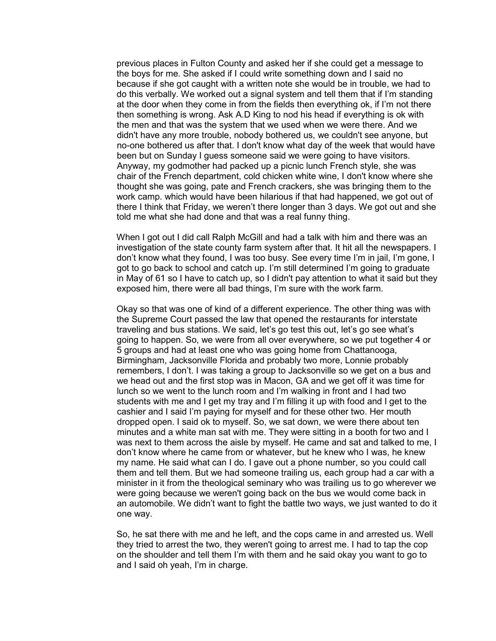previous places in Fulton County and asked her if she could get a message to the boys for me. She asked if I could write something down and I said no because if she got caught with a written note she would be in trouble, we had to do this verbally. We worked out a signal system and tell them that if I'm standing at the door when they come in from the fields then everything ok, if I'm not there then something is wrong. Ask A.D King to nod his head if everything is ok with the men and that was the system that we used when we were there. And we didn't have any more trouble, nobody bothered us, we couldn't see anyone, but no-one bothered us after that. I don't know what day of the week that would have been but on Sunday I guess someone said we were going to have visitors. Anyway, my godmother had packed up a picnic lunch French style, she was chair of the French department, cold chicken white wine, I don't know where she thought she was going, pate and French crackers, she was bringing them to the work camp. which would have been hilarious if that had happened, we got out of there I think that Friday, we weren't there longer than 3 days. We got out and she told me what she had done and that was a real funny thing.

When I got out I did call Ralph McGill and had a talk with him and there was an investigation of the state county farm system after that. It hit all the newspapers. I don't know what they found, I was too busy. See every time I'm in jail, I'm gone, I got to go back to school and catch up. I'm still determined I'm going to graduate in May of 61 so I have to catch up, so I didn't pay attention to what it said but they exposed him, there were all bad things, I'm sure with the work farm.

Okay so that was one of kind of a different experience. The other thing was with the Supreme Court passed the law that opened the restaurants for interstate traveling and bus stations. We said, let's go test this out, let's go see what's going to happen. So, we were from all over everywhere, so we put together 4 or 5 groups and had at least one who was going home from Chattanooga, Birmingham, Jacksonville Florida and probably two more, Lonnie probably remembers, I don't. I was taking a group to Jacksonville so we get on a bus and we head out and the first stop was in Macon, GA and we get off it was time for lunch so we went to the lunch room and I'm walking in front and I had two students with me and I get my tray and I'm filling it up with food and I get to the cashier and I said I'm paying for myself and for these other two. Her mouth dropped open. I said ok to myself. So, we sat down, we were there about ten minutes and a white man sat with me. They were sitting in a booth for two and I was next to them across the aisle by myself. He came and sat and talked to me, I don't know where he came from or whatever, but he knew who I was, he knew my name. He said what can I do. I gave out a phone number, so you could call them and tell them. But we had someone trailing us, each group had a car with a minister in it from the theological seminary who was trailing us to go wherever we were going because we weren't going back on the bus we would come back in an automobile. We didn't want to fight the battle two ways, we just wanted to do it one way.

So, he sat there with me and he left, and the cops came in and arrested us. Well they tried to arrest the two, they weren't going to arrest me. I had to tap the cop on the shoulder and tell them I'm with them and he said okay you want to go to and I said oh yeah, I'm in charge.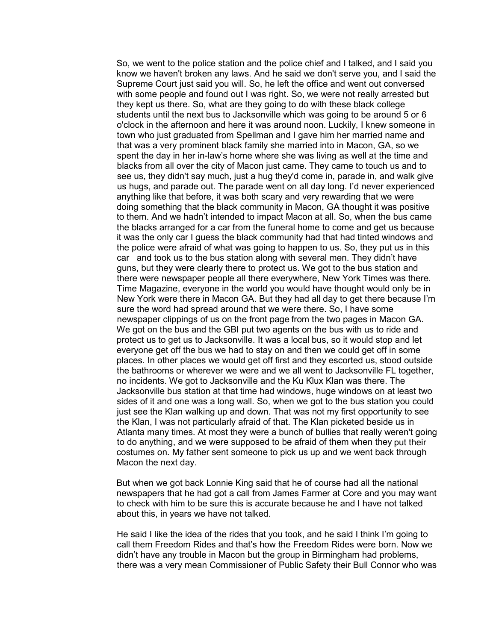So, we went to the police station and the police chief and I talked, and I said you know we haven't broken any laws. And he said we don't serve you, and I said the Supreme Court just said you will. So, he left the office and went out conversed with some people and found out I was right. So, we were not really arrested but they kept us there. So, what are they going to do with these black college students until the next bus to Jacksonville which was going to be around 5 or 6 o'clock in the afternoon and here it was around noon. Luckily, I knew someone in town who just graduated from Spellman and I gave him her married name and that was a very prominent black family she married into in Macon, GA, so we spent the day in her in-law's home where she was living as well at the time and blacks from all over the city of Macon just came. They came to touch us and to see us, they didn't say much, just a hug they'd come in, parade in, and walk give us hugs, and parade out. The parade went on all day long. I'd never experienced anything like that before, it was both scary and very rewarding that we were doing something that the black community in Macon, GA thought it was positive to them. And we hadn't intended to impact Macon at all. So, when the bus came the blacks arranged for a car from the funeral home to come and get us because it was the only car I guess the black community had that had tinted windows and the police were afraid of what was going to happen to us. So, they put us in this car and took us to the bus station along with several men. They didn't have guns, but they were clearly there to protect us. We got to the bus station and there were newspaper people all there everywhere, New York Times was there. Time Magazine, everyone in the world you would have thought would only be in New York were there in Macon GA. But they had all day to get there because I'm sure the word had spread around that we were there. So, I have some newspaper clippings of us on the front page from the two pages in Macon GA. We got on the bus and the GBI put two agents on the bus with us to ride and protect us to get us to Jacksonville. It was a local bus, so it would stop and let everyone get off the bus we had to stay on and then we could get off in some places. In other places we would get off first and they escorted us, stood outside the bathrooms or wherever we were and we all went to Jacksonville FL together, no incidents. We got to Jacksonville and the Ku Klux Klan was there. The Jacksonville bus station at that time had windows, huge windows on at least two sides of it and one was a long wall. So, when we got to the bus station you could just see the Klan walking up and down. That was not my first opportunity to see the Klan, I was not particularly afraid of that. The Klan picketed beside us in Atlanta many times. At most they were a bunch of bullies that really weren't going to do anything, and we were supposed to be afraid of them when they put their costumes on. My father sent someone to pick us up and we went back through Macon the next day.

But when we got back Lonnie King said that he of course had all the national newspapers that he had got a call from James Farmer at Core and you may want to check with him to be sure this is accurate because he and I have not talked about this, in years we have not talked.

He said I like the idea of the rides that you took, and he said I think I'm going to call them Freedom Rides and that's how the Freedom Rides were born. Now we didn't have any trouble in Macon but the group in Birmingham had problems, there was a very mean Commissioner of Public Safety their Bull Connor who was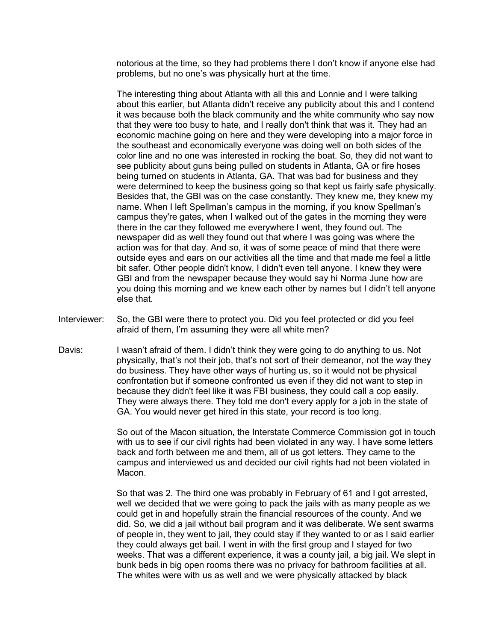notorious at the time, so they had problems there I don't know if anyone else had problems, but no one's was physically hurt at the time.

The interesting thing about Atlanta with all this and Lonnie and I were talking about this earlier, but Atlanta didn't receive any publicity about this and I contend it was because both the black community and the white community who say now that they were too busy to hate, and I really don't think that was it. They had an economic machine going on here and they were developing into a major force in the southeast and economically everyone was doing well on both sides of the color line and no one was interested in rocking the boat. So, they did not want to see publicity about guns being pulled on students in Atlanta, GA or fire hoses being turned on students in Atlanta, GA. That was bad for business and they were determined to keep the business going so that kept us fairly safe physically. Besides that, the GBI was on the case constantly. They knew me, they knew my name. When I left Spellman's campus in the morning, if you know Spellman's campus they're gates, when I walked out of the gates in the morning they were there in the car they followed me everywhere I went, they found out. The newspaper did as well they found out that where I was going was where the action was for that day. And so, it was of some peace of mind that there were outside eyes and ears on our activities all the time and that made me feel a little bit safer. Other people didn't know, I didn't even tell anyone. I knew they were GBI and from the newspaper because they would say hi Norma June how are you doing this morning and we knew each other by names but I didn't tell anyone else that.

- Interviewer: So, the GBI were there to protect you. Did you feel protected or did you feel afraid of them, I'm assuming they were all white men?
- Davis: I wasn't afraid of them. I didn't think they were going to do anything to us. Not physically, that's not their job, that's not sort of their demeanor, not the way they do business. They have other ways of hurting us, so it would not be physical confrontation but if someone confronted us even if they did not want to step in because they didn't feel like it was FBI business, they could call a cop easily. They were always there. They told me don't every apply for a job in the state of GA. You would never get hired in this state, your record is too long.

So out of the Macon situation, the Interstate Commerce Commission got in touch with us to see if our civil rights had been violated in any way. I have some letters back and forth between me and them, all of us got letters. They came to the campus and interviewed us and decided our civil rights had not been violated in Macon.

So that was 2. The third one was probably in February of 61 and I got arrested, well we decided that we were going to pack the jails with as many people as we could get in and hopefully strain the financial resources of the county. And we did. So, we did a jail without bail program and it was deliberate. We sent swarms of people in, they went to jail, they could stay if they wanted to or as I said earlier they could always get bail. I went in with the first group and I stayed for two weeks. That was a different experience, it was a county jail, a big jail. We slept in bunk beds in big open rooms there was no privacy for bathroom facilities at all. The whites were with us as well and we were physically attacked by black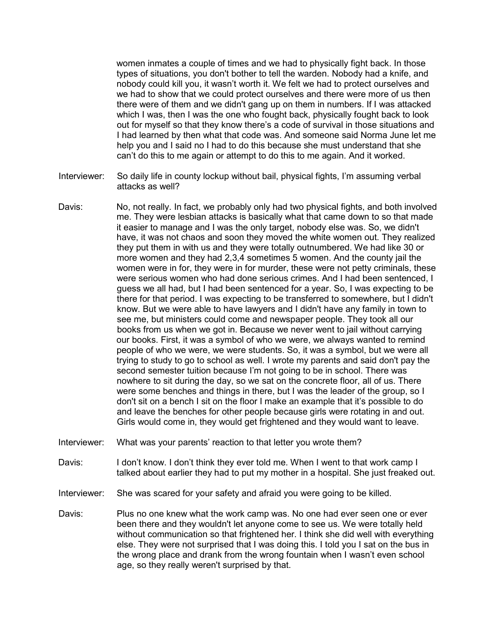women inmates a couple of times and we had to physically fight back. In those types of situations, you don't bother to tell the warden. Nobody had a knife, and nobody could kill you, it wasn't worth it. We felt we had to protect ourselves and we had to show that we could protect ourselves and there were more of us then there were of them and we didn't gang up on them in numbers. If I was attacked which I was, then I was the one who fought back, physically fought back to look out for myself so that they know there's a code of survival in those situations and I had learned by then what that code was. And someone said Norma June let me help you and I said no I had to do this because she must understand that she can't do this to me again or attempt to do this to me again. And it worked.

- Interviewer: So daily life in county lockup without bail, physical fights, I'm assuming verbal attacks as well?
- Davis: No, not really. In fact, we probably only had two physical fights, and both involved me. They were lesbian attacks is basically what that came down to so that made it easier to manage and I was the only target, nobody else was. So, we didn't have, it was not chaos and soon they moved the white women out. They realized they put them in with us and they were totally outnumbered. We had like 30 or more women and they had 2,3,4 sometimes 5 women. And the county jail the women were in for, they were in for murder, these were not petty criminals, these were serious women who had done serious crimes. And I had been sentenced, I guess we all had, but I had been sentenced for a year. So, I was expecting to be there for that period. I was expecting to be transferred to somewhere, but I didn't know. But we were able to have lawyers and I didn't have any family in town to see me, but ministers could come and newspaper people. They took all our books from us when we got in. Because we never went to jail without carrying our books. First, it was a symbol of who we were, we always wanted to remind people of who we were, we were students. So, it was a symbol, but we were all trying to study to go to school as well. I wrote my parents and said don't pay the second semester tuition because I'm not going to be in school. There was nowhere to sit during the day, so we sat on the concrete floor, all of us. There were some benches and things in there, but I was the leader of the group, so I don't sit on a bench I sit on the floor I make an example that it's possible to do and leave the benches for other people because girls were rotating in and out. Girls would come in, they would get frightened and they would want to leave.
- Interviewer: What was your parents' reaction to that letter you wrote them?
- Davis: I don't know. I don't think they ever told me. When I went to that work camp I talked about earlier they had to put my mother in a hospital. She just freaked out.
- Interviewer: She was scared for your safety and afraid you were going to be killed.
- Davis: Plus no one knew what the work camp was. No one had ever seen one or ever been there and they wouldn't let anyone come to see us. We were totally held without communication so that frightened her. I think she did well with everything else. They were not surprised that I was doing this. I told you I sat on the bus in the wrong place and drank from the wrong fountain when I wasn't even school age, so they really weren't surprised by that.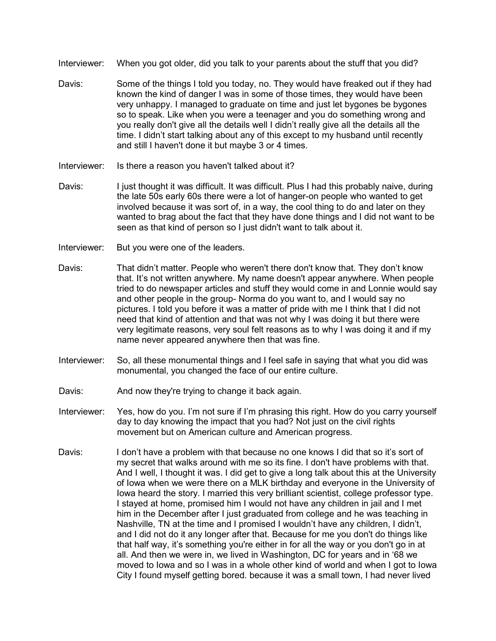- Interviewer: When you got older, did you talk to your parents about the stuff that you did?
- Davis: Some of the things I told you today, no. They would have freaked out if they had known the kind of danger I was in some of those times, they would have been very unhappy. I managed to graduate on time and just let bygones be bygones so to speak. Like when you were a teenager and you do something wrong and you really don't give all the details well I didn't really give all the details all the time. I didn't start talking about any of this except to my husband until recently and still I haven't done it but maybe 3 or 4 times.
- Interviewer: Is there a reason you haven't talked about it?
- Davis: I just thought it was difficult. It was difficult. Plus I had this probably naive, during the late 50s early 60s there were a lot of hanger-on people who wanted to get involved because it was sort of, in a way, the cool thing to do and later on they wanted to brag about the fact that they have done things and I did not want to be seen as that kind of person so I just didn't want to talk about it.
- Interviewer: But you were one of the leaders.
- Davis: That didn't matter. People who weren't there don't know that. They don't know that. It's not written anywhere. My name doesn't appear anywhere. When people tried to do newspaper articles and stuff they would come in and Lonnie would say and other people in the group- Norma do you want to, and I would say no pictures. I told you before it was a matter of pride with me I think that I did not need that kind of attention and that was not why I was doing it but there were very legitimate reasons, very soul felt reasons as to why I was doing it and if my name never appeared anywhere then that was fine.
- Interviewer: So, all these monumental things and I feel safe in saying that what you did was monumental, you changed the face of our entire culture.
- Davis: And now they're trying to change it back again.
- Interviewer: Yes, how do you. I'm not sure if I'm phrasing this right. How do you carry yourself day to day knowing the impact that you had? Not just on the civil rights movement but on American culture and American progress.
- Davis: I don't have a problem with that because no one knows I did that so it's sort of my secret that walks around with me so its fine. I don't have problems with that. And I well, I thought it was. I did get to give a long talk about this at the University of Iowa when we were there on a MLK birthday and everyone in the University of Iowa heard the story. I married this very brilliant scientist, college professor type. I stayed at home, promised him I would not have any children in jail and I met him in the December after I just graduated from college and he was teaching in Nashville, TN at the time and I promised I wouldn't have any children, I didn't, and I did not do it any longer after that. Because for me you don't do things like that half way, it's something you're either in for all the way or you don't go in at all. And then we were in, we lived in Washington, DC for years and in '68 we moved to Iowa and so I was in a whole other kind of world and when I got to Iowa City I found myself getting bored. because it was a small town, I had never lived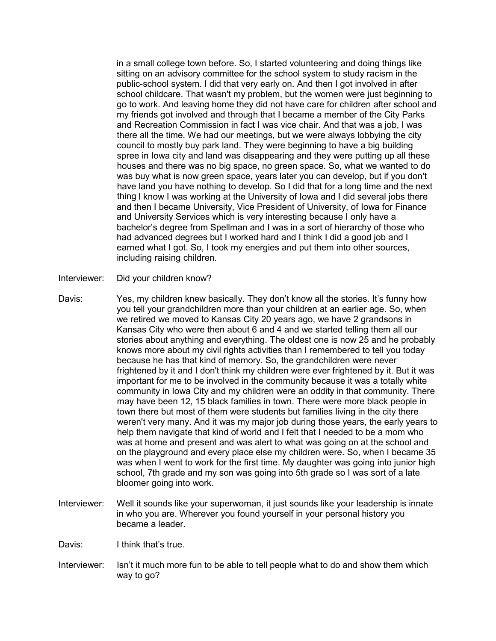in a small college town before. So, I started volunteering and doing things like sitting on an advisory committee for the school system to study racism in the public-school system. I did that very early on. And then I got involved in after school childcare. That wasn't my problem, but the women were just beginning to go to work. And leaving home they did not have care for children after school and my friends got involved and through that I became a member of the City Parks and Recreation Commission in fact I was vice chair. And that was a job, I was there all the time. We had our meetings, but we were always lobbying the city council to mostly buy park land. They were beginning to have a big building spree in Iowa city and land was disappearing and they were putting up all these houses and there was no big space, no green space. So, what we wanted to do was buy what is now green space, years later you can develop, but if you don't have land you have nothing to develop. So I did that for a long time and the next thing I know I was working at the University of Iowa and I did several jobs there and then I became University, Vice President of University, of Iowa for Finance and University Services which is very interesting because I only have a bachelor's degree from Spellman and I was in a sort of hierarchy of those who had advanced degrees but I worked hard and I think I did a good job and I earned what I got. So, I took my energies and put them into other sources, including raising children.

- Interviewer: Did your children know?
- Davis: Yes, my children knew basically. They don't know all the stories. It's funny how you tell your grandchildren more than your children at an earlier age. So, when we retired we moved to Kansas City 20 years ago, we have 2 grandsons in Kansas City who were then about 6 and 4 and we started telling them all our stories about anything and everything. The oldest one is now 25 and he probably knows more about my civil rights activities than I remembered to tell you today because he has that kind of memory. So, the grandchildren were never frightened by it and I don't think my children were ever frightened by it. But it was important for me to be involved in the community because it was a totally white community in Iowa City and my children were an oddity in that community. There may have been 12, 15 black families in town. There were more black people in town there but most of them were students but families living in the city there weren't very many. And it was my major job during those years, the early years to help them navigate that kind of world and I felt that I needed to be a mom who was at home and present and was alert to what was going on at the school and on the playground and every place else my children were. So, when I became 35 was when I went to work for the first time. My daughter was going into junior high school, 7th grade and my son was going into 5th grade so I was sort of a late bloomer going into work.
- Interviewer: Well it sounds like your superwoman, it just sounds like your leadership is innate in who you are. Wherever you found yourself in your personal history you became a leader.

Davis: I think that's true.

Interviewer: Isn't it much more fun to be able to tell people what to do and show them which way to go?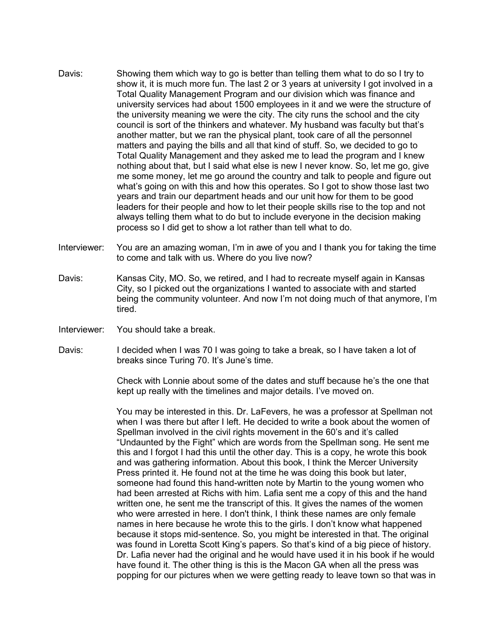- Davis: Showing them which way to go is better than telling them what to do so I try to show it, it is much more fun. The last 2 or 3 years at university I got involved in a Total Quality Management Program and our division which was finance and university services had about 1500 employees in it and we were the structure of the university meaning we were the city. The city runs the school and the city council is sort of the thinkers and whatever. My husband was faculty but that's another matter, but we ran the physical plant, took care of all the personnel matters and paying the bills and all that kind of stuff. So, we decided to go to Total Quality Management and they asked me to lead the program and I knew nothing about that, but I said what else is new I never know. So, let me go, give me some money, let me go around the country and talk to people and figure out what's going on with this and how this operates. So I got to show those last two years and train our department heads and our unit how for them to be good leaders for their people and how to let their people skills rise to the top and not always telling them what to do but to include everyone in the decision making process so I did get to show a lot rather than tell what to do.
- Interviewer: You are an amazing woman, I'm in awe of you and I thank you for taking the time to come and talk with us. Where do you live now?
- Davis: Kansas City, MO. So, we retired, and I had to recreate myself again in Kansas City, so I picked out the organizations I wanted to associate with and started being the community volunteer. And now I'm not doing much of that anymore, I'm tired.
- Interviewer: You should take a break.
- Davis: I decided when I was 70 I was going to take a break, so I have taken a lot of breaks since Turing 70. It's June's time.

Check with Lonnie about some of the dates and stuff because he's the one that kept up really with the timelines and major details. I've moved on.

You may be interested in this. Dr. LaFevers, he was a professor at Spellman not when I was there but after I left. He decided to write a book about the women of Spellman involved in the civil rights movement in the 60's and it's called "Undaunted by the Fight" which are words from the Spellman song. He sent me this and I forgot I had this until the other day. This is a copy, he wrote this book and was gathering information. About this book, I think the Mercer University Press printed it. He found not at the time he was doing this book but later, someone had found this hand-written note by Martin to the young women who had been arrested at Richs with him. Lafia sent me a copy of this and the hand written one, he sent me the transcript of this. It gives the names of the women who were arrested in here. I don't think, I think these names are only female names in here because he wrote this to the girls. I don't know what happened because it stops mid-sentence. So, you might be interested in that. The original was found in Loretta Scott King's papers. So that's kind of a big piece of history. Dr. Lafia never had the original and he would have used it in his book if he would have found it. The other thing is this is the Macon GA when all the press was popping for our pictures when we were getting ready to leave town so that was in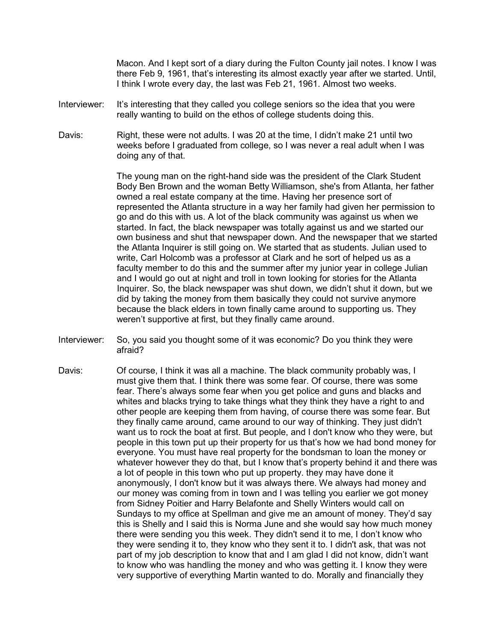Macon. And I kept sort of a diary during the Fulton County jail notes. I know I was there Feb 9, 1961, that's interesting its almost exactly year after we started. Until, I think I wrote every day, the last was Feb 21, 1961. Almost two weeks.

- Interviewer: It's interesting that they called you college seniors so the idea that you were really wanting to build on the ethos of college students doing this.
- Davis: Right, these were not adults. I was 20 at the time, I didn't make 21 until two weeks before I graduated from college, so I was never a real adult when I was doing any of that.

The young man on the right-hand side was the president of the Clark Student Body Ben Brown and the woman Betty Williamson, she's from Atlanta, her father owned a real estate company at the time. Having her presence sort of represented the Atlanta structure in a way her family had given her permission to go and do this with us. A lot of the black community was against us when we started. In fact, the black newspaper was totally against us and we started our own business and shut that newspaper down. And the newspaper that we started the Atlanta Inquirer is still going on. We started that as students. Julian used to write, Carl Holcomb was a professor at Clark and he sort of helped us as a faculty member to do this and the summer after my junior year in college Julian and I would go out at night and troll in town looking for stories for the Atlanta Inquirer. So, the black newspaper was shut down, we didn't shut it down, but we did by taking the money from them basically they could not survive anymore because the black elders in town finally came around to supporting us. They weren't supportive at first, but they finally came around.

- Interviewer: So, you said you thought some of it was economic? Do you think they were afraid?
- Davis: Of course, I think it was all a machine. The black community probably was, I must give them that. I think there was some fear. Of course, there was some fear. There's always some fear when you get police and guns and blacks and whites and blacks trying to take things what they think they have a right to and other people are keeping them from having, of course there was some fear. But they finally came around, came around to our way of thinking. They just didn't want us to rock the boat at first. But people, and I don't know who they were, but people in this town put up their property for us that's how we had bond money for everyone. You must have real property for the bondsman to loan the money or whatever however they do that, but I know that's property behind it and there was a lot of people in this town who put up property. they may have done it anonymously, I don't know but it was always there. We always had money and our money was coming from in town and I was telling you earlier we got money from Sidney Poitier and Harry Belafonte and Shelly Winters would call on Sundays to my office at Spellman and give me an amount of money. They'd say this is Shelly and I said this is Norma June and she would say how much money there were sending you this week. They didn't send it to me, I don't know who they were sending it to, they know who they sent it to. I didn't ask, that was not part of my job description to know that and I am glad I did not know, didn't want to know who was handling the money and who was getting it. I know they were very supportive of everything Martin wanted to do. Morally and financially they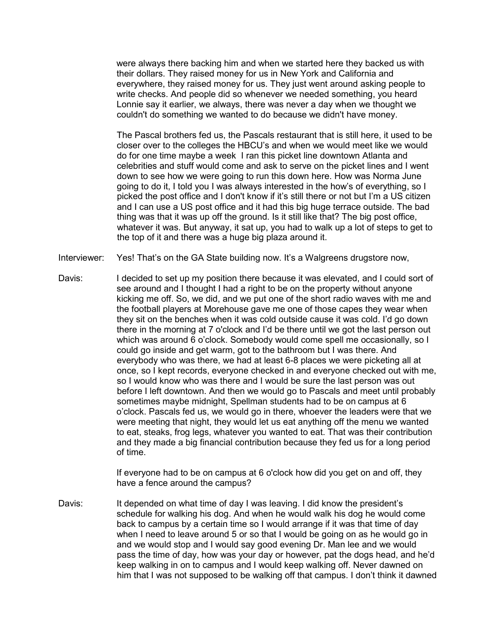were always there backing him and when we started here they backed us with their dollars. They raised money for us in New York and California and everywhere, they raised money for us. They just went around asking people to write checks. And people did so whenever we needed something, you heard Lonnie say it earlier, we always, there was never a day when we thought we couldn't do something we wanted to do because we didn't have money.

The Pascal brothers fed us, the Pascals restaurant that is still here, it used to be closer over to the colleges the HBCU's and when we would meet like we would do for one time maybe a week I ran this picket line downtown Atlanta and celebrities and stuff would come and ask to serve on the picket lines and I went down to see how we were going to run this down here. How was Norma June going to do it, I told you I was always interested in the how's of everything, so I picked the post office and I don't know if it's still there or not but I'm a US citizen and I can use a US post office and it had this big huge terrace outside. The bad thing was that it was up off the ground. Is it still like that? The big post office, whatever it was. But anyway, it sat up, you had to walk up a lot of steps to get to the top of it and there was a huge big plaza around it.

Interviewer: Yes! That's on the GA State building now. It's a Walgreens drugstore now,

Davis: I decided to set up my position there because it was elevated, and I could sort of see around and I thought I had a right to be on the property without anyone kicking me off. So, we did, and we put one of the short radio waves with me and the football players at Morehouse gave me one of those capes they wear when they sit on the benches when it was cold outside cause it was cold. I'd go down there in the morning at 7 o'clock and I'd be there until we got the last person out which was around 6 o'clock. Somebody would come spell me occasionally, so I could go inside and get warm, got to the bathroom but I was there. And everybody who was there, we had at least 6-8 places we were picketing all at once, so I kept records, everyone checked in and everyone checked out with me, so I would know who was there and I would be sure the last person was out before I left downtown. And then we would go to Pascals and meet until probably sometimes maybe midnight, Spellman students had to be on campus at 6 o'clock. Pascals fed us, we would go in there, whoever the leaders were that we were meeting that night, they would let us eat anything off the menu we wanted to eat, steaks, frog legs, whatever you wanted to eat. That was their contribution and they made a big financial contribution because they fed us for a long period of time.

> If everyone had to be on campus at 6 o'clock how did you get on and off, they have a fence around the campus?

Davis: It depended on what time of day I was leaving. I did know the president's schedule for walking his dog. And when he would walk his dog he would come back to campus by a certain time so I would arrange if it was that time of day when I need to leave around 5 or so that I would be going on as he would go in and we would stop and I would say good evening Dr. Man lee and we would pass the time of day, how was your day or however, pat the dogs head, and he'd keep walking in on to campus and I would keep walking off. Never dawned on him that I was not supposed to be walking off that campus. I don't think it dawned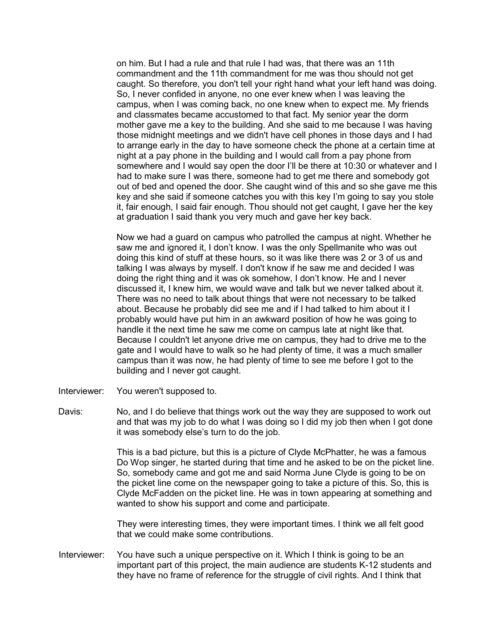on him. But I had a rule and that rule I had was, that there was an 11th commandment and the 11th commandment for me was thou should not get caught. So therefore, you don't tell your right hand what your left hand was doing. So, I never confided in anyone, no one ever knew when I was leaving the campus, when I was coming back, no one knew when to expect me. My friends and classmates became accustomed to that fact. My senior year the dorm mother gave me a key to the building. And she said to me because I was having those midnight meetings and we didn't have cell phones in those days and I had to arrange early in the day to have someone check the phone at a certain time at night at a pay phone in the building and I would call from a pay phone from somewhere and I would say open the door I'll be there at 10:30 or whatever and I had to make sure I was there, someone had to get me there and somebody got out of bed and opened the door. She caught wind of this and so she gave me this key and she said if someone catches you with this key I'm going to say you stole it, fair enough, I said fair enough. Thou should not get caught, I gave her the key at graduation I said thank you very much and gave her key back.

Now we had a guard on campus who patrolled the campus at night. Whether he saw me and ignored it, I don't know. I was the only Spellmanite who was out doing this kind of stuff at these hours, so it was like there was 2 or 3 of us and talking I was always by myself. I don't know if he saw me and decided I was doing the right thing and it was ok somehow, I don't know. He and I never discussed it, I knew him, we would wave and talk but we never talked about it. There was no need to talk about things that were not necessary to be talked about. Because he probably did see me and if I had talked to him about it I probably would have put him in an awkward position of how he was going to handle it the next time he saw me come on campus late at night like that. Because I couldn't let anyone drive me on campus, they had to drive me to the gate and I would have to walk so he had plenty of time, it was a much smaller campus than it was now, he had plenty of time to see me before I got to the building and I never got caught.

- Interviewer: You weren't supposed to.
- Davis: No, and I do believe that things work out the way they are supposed to work out and that was my job to do what I was doing so I did my job then when I got done it was somebody else's turn to do the job.

This is a bad picture, but this is a picture of Clyde McPhatter, he was a famous Do Wop singer, he started during that time and he asked to be on the picket line. So, somebody came and got me and said Norma June Clyde is going to be on the picket line come on the newspaper going to take a picture of this. So, this is Clyde McFadden on the picket line. He was in town appearing at something and wanted to show his support and come and participate.

They were interesting times, they were important times. I think we all felt good that we could make some contributions.

Interviewer: You have such a unique perspective on it. Which I think is going to be an important part of this project, the main audience are students K-12 students and they have no frame of reference for the struggle of civil rights. And I think that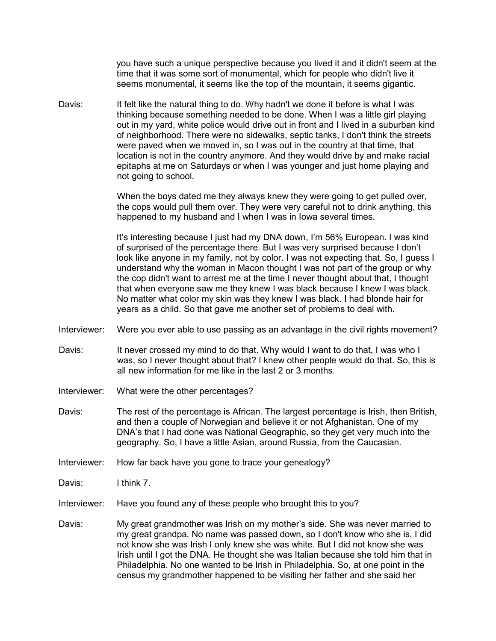you have such a unique perspective because you lived it and it didn't seem at the time that it was some sort of monumental, which for people who didn't live it seems monumental, it seems like the top of the mountain, it seems gigantic.

Davis: It felt like the natural thing to do. Why hadn't we done it before is what I was thinking because something needed to be done. When I was a little girl playing out in my yard, white police would drive out in front and I lived in a suburban kind of neighborhood. There were no sidewalks, septic tanks, I don't think the streets were paved when we moved in, so I was out in the country at that time, that location is not in the country anymore. And they would drive by and make racial epitaphs at me on Saturdays or when I was younger and just home playing and not going to school.

> When the boys dated me they always knew they were going to get pulled over, the cops would pull them over. They were very careful not to drink anything, this happened to my husband and I when I was in Iowa several times.

> It's interesting because I just had my DNA down, I'm 56% European. I was kind of surprised of the percentage there. But I was very surprised because I don't look like anyone in my family, not by color. I was not expecting that. So, I guess I understand why the woman in Macon thought I was not part of the group or why the cop didn't want to arrest me at the time I never thought about that, I thought that when everyone saw me they knew I was black because I knew I was black. No matter what color my skin was they knew I was black. I had blonde hair for years as a child. So that gave me another set of problems to deal with.

- Interviewer: Were you ever able to use passing as an advantage in the civil rights movement?
- Davis: It never crossed my mind to do that. Why would I want to do that, I was who I was, so I never thought about that? I knew other people would do that. So, this is all new information for me like in the last 2 or 3 months.
- Interviewer: What were the other percentages?
- Davis: The rest of the percentage is African. The largest percentage is Irish, then British, and then a couple of Norwegian and believe it or not Afghanistan. One of my DNA's that I had done was National Geographic, so they get very much into the geography. So, I have a little Asian, around Russia, from the Caucasian.
- Interviewer: How far back have you gone to trace your genealogy?
- Davis: I think 7.
- Interviewer: Have you found any of these people who brought this to you?
- Davis: My great grandmother was Irish on my mother's side. She was never married to my great grandpa. No name was passed down, so I don't know who she is, I did not know she was Irish I only knew she was white. But I did not know she was Irish until I got the DNA. He thought she was Italian because she told him that in Philadelphia. No one wanted to be Irish in Philadelphia. So, at one point in the census my grandmother happened to be visiting her father and she said her